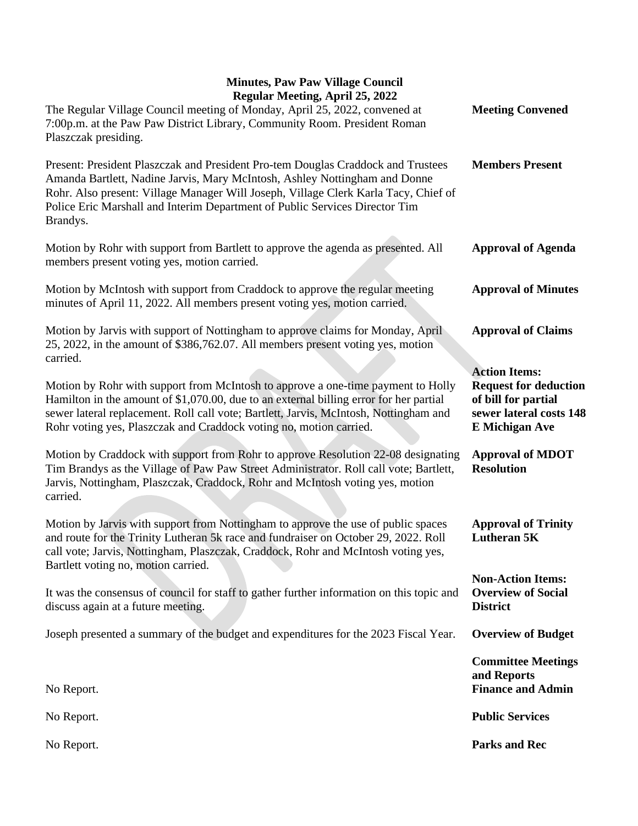## **Minutes, Paw Paw Village Council Regular Meeting, April 25, 2022**

| Regular Meeting, April 25, 2022<br>The Regular Village Council meeting of Monday, April 25, 2022, convened at                                                                                                                                                                                                                                    | <b>Meeting Convened</b>                                                                                                         |
|--------------------------------------------------------------------------------------------------------------------------------------------------------------------------------------------------------------------------------------------------------------------------------------------------------------------------------------------------|---------------------------------------------------------------------------------------------------------------------------------|
| 7:00p.m. at the Paw Paw District Library, Community Room. President Roman<br>Plaszczak presiding.                                                                                                                                                                                                                                                |                                                                                                                                 |
| Present: President Plaszczak and President Pro-tem Douglas Craddock and Trustees<br>Amanda Bartlett, Nadine Jarvis, Mary McIntosh, Ashley Nottingham and Donne<br>Rohr. Also present: Village Manager Will Joseph, Village Clerk Karla Tacy, Chief of<br>Police Eric Marshall and Interim Department of Public Services Director Tim<br>Brandys. | <b>Members Present</b>                                                                                                          |
| Motion by Rohr with support from Bartlett to approve the agenda as presented. All<br>members present voting yes, motion carried.                                                                                                                                                                                                                 | <b>Approval of Agenda</b>                                                                                                       |
| Motion by McIntosh with support from Craddock to approve the regular meeting<br>minutes of April 11, 2022. All members present voting yes, motion carried.                                                                                                                                                                                       | <b>Approval of Minutes</b>                                                                                                      |
| Motion by Jarvis with support of Nottingham to approve claims for Monday, April<br>25, 2022, in the amount of \$386,762.07. All members present voting yes, motion<br>carried.                                                                                                                                                                   | <b>Approval of Claims</b>                                                                                                       |
| Motion by Rohr with support from McIntosh to approve a one-time payment to Holly<br>Hamilton in the amount of \$1,070.00, due to an external billing error for her partial<br>sewer lateral replacement. Roll call vote; Bartlett, Jarvis, McIntosh, Nottingham and<br>Rohr voting yes, Plaszczak and Craddock voting no, motion carried.        | <b>Action Items:</b><br><b>Request for deduction</b><br>of bill for partial<br>sewer lateral costs 148<br><b>E</b> Michigan Ave |
| Motion by Craddock with support from Rohr to approve Resolution 22-08 designating<br>Tim Brandys as the Village of Paw Paw Street Administrator. Roll call vote; Bartlett,<br>Jarvis, Nottingham, Plaszczak, Craddock, Rohr and McIntosh voting yes, motion<br>carried.                                                                          | <b>Approval of MDOT</b><br><b>Resolution</b>                                                                                    |
| Motion by Jarvis with support from Nottingham to approve the use of public spaces<br>and route for the Trinity Lutheran 5k race and fundraiser on October 29, 2022. Roll<br>call vote; Jarvis, Nottingham, Plaszczak, Craddock, Rohr and McIntosh voting yes,<br>Bartlett voting no, motion carried.                                             | <b>Approval of Trinity</b><br><b>Lutheran 5K</b>                                                                                |
| It was the consensus of council for staff to gather further information on this topic and<br>discuss again at a future meeting.                                                                                                                                                                                                                  | <b>Non-Action Items:</b><br><b>Overview of Social</b><br><b>District</b>                                                        |
| Joseph presented a summary of the budget and expenditures for the 2023 Fiscal Year.                                                                                                                                                                                                                                                              | <b>Overview of Budget</b>                                                                                                       |
| No Report.                                                                                                                                                                                                                                                                                                                                       | <b>Committee Meetings</b><br>and Reports<br><b>Finance and Admin</b>                                                            |
| No Report.                                                                                                                                                                                                                                                                                                                                       | <b>Public Services</b>                                                                                                          |
| No Report.                                                                                                                                                                                                                                                                                                                                       | <b>Parks and Rec</b>                                                                                                            |